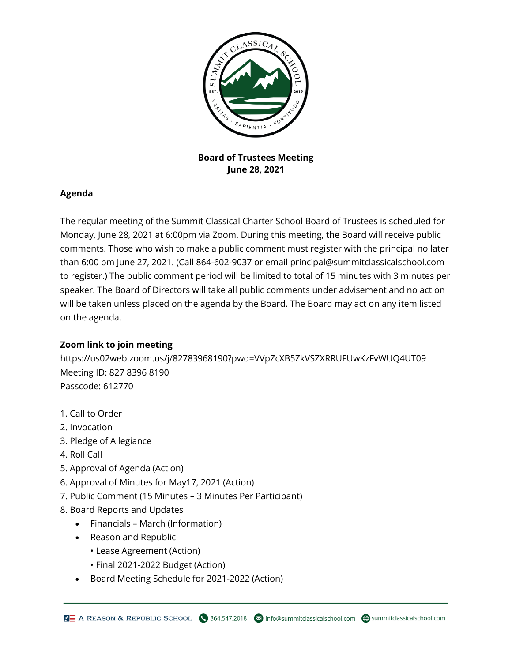

**Board of Trustees Meeting June 28, 2021**

## **Agenda**

The regular meeting of the Summit Classical Charter School Board of Trustees is scheduled for Monday, June 28, 2021 at 6:00pm via Zoom. During this meeting, the Board will receive public comments. Those who wish to make a public comment must register with the principal no later than 6:00 pm June 27, 2021. (Call 864-602-9037 or email principal@summitclassicalschool.com to register.) The public comment period will be limited to total of 15 minutes with 3 minutes per speaker. The Board of Directors will take all public comments under advisement and no action will be taken unless placed on the agenda by the Board. The Board may act on any item listed on the agenda.

## **Zoom link to join meeting**

https://us02web.zoom.us/j/82783968190?pwd=VVpZcXB5ZkVSZXRRUFUwKzFvWUQ4UT09 Meeting ID: 827 8396 8190 Passcode: 612770

- 1. Call to Order
- 2. Invocation
- 3. Pledge of Allegiance
- 4. Roll Call
- 5. Approval of Agenda (Action)
- 6. Approval of Minutes for May17, 2021 (Action)
- 7. Public Comment (15 Minutes 3 Minutes Per Participant)
- 8. Board Reports and Updates
	- Financials March (Information)
	- Reason and Republic
		- Lease Agreement (Action)
		- Final 2021-2022 Budget (Action)
	- Board Meeting Schedule for 2021-2022 (Action)